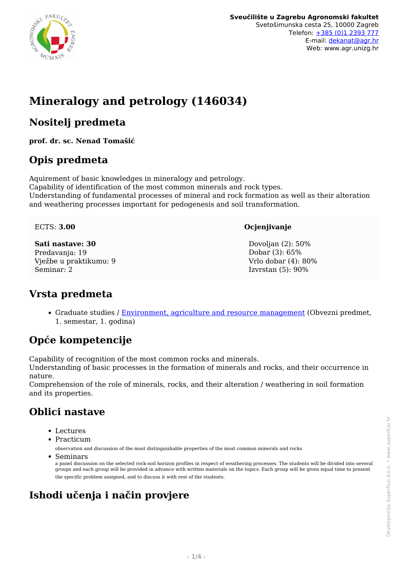

# **Mineralogy and petrology (146034)**

## **Nositelj predmeta**

**prof. dr. sc. Nenad Tomašić**

## **Opis predmeta**

Aquirement of basic knowledges in mineralogy and petrology. Capability of identification of the most common minerals and rock types. Understanding of fundamental processes of mineral and rock formation as well as their alteration and weathering processes important for pedogenesis and soil transformation.

#### ECTS: **3.00**

**Sati nastave: 30** Predavanja: 19 Vježbe u praktikumu: 9 Seminar: 2

#### **Ocjenjivanje**

Dovolian (2): 50% Dobar (3): 65% Vrlo dobar (4): 80% Izvrstan (5): 90%

## **Vrsta predmeta**

• Graduate studies / [Environment, agriculture and resource management](/hr/study/en/3/Environment%2C+agriculture+and+resource+management) (Obvezni predmet, 1. semestar, 1. godina)

## **Opće kompetencije**

Capability of recognition of the most common rocks and minerals.

Understanding of basic processes in the formation of minerals and rocks, and their occurrence in nature.

Comprehension of the role of minerals, rocks, and their alteration / weathering in soil formation and its properties.

## **Oblici nastave**

- Lectures
- Practicum

observation and discussion of the most distinguishable properties of the most common minerals and rocks

Seminars

a panel discussion on the selected rock-soil horizon profiles in respect of weathering processes. The students will be divided into several groups and each group will be provided in advance with written materials on the topics. Each group will be given equal time to present the specific problem assigned, and to discuss it with rest of the students.

## **Ishodi učenja i način provjere**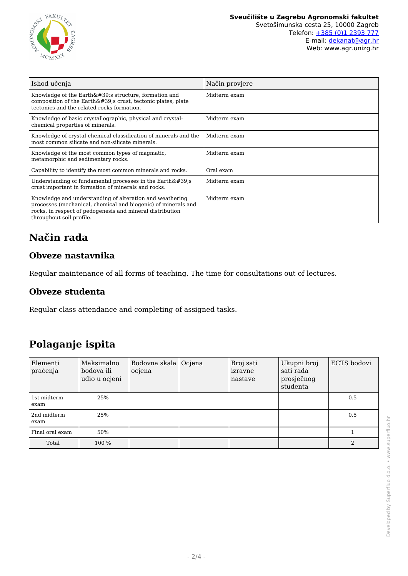

| Ishod učenja                                                                                                                                                                                                       | Način provjere |
|--------------------------------------------------------------------------------------------------------------------------------------------------------------------------------------------------------------------|----------------|
| Knowledge of the $Earth'$ ; structure, formation and<br>composition of the Earth's crust, tectonic plates, plate<br>tectonics and the related rocks formation.                                                     | Midterm exam   |
| Knowledge of basic crystallographic, physical and crystal-<br>chemical properties of minerals.                                                                                                                     | Midterm exam   |
| Knowledge of crystal-chemical classification of minerals and the<br>most common silicate and non-silicate minerals.                                                                                                | Midterm exam   |
| Knowledge of the most common types of magmatic.<br>metamorphic and sedimentary rocks.                                                                                                                              | Midterm exam   |
| Capability to identify the most common minerals and rocks.                                                                                                                                                         | Oral exam      |
| Understanding of fundamental processes in the $Earth'$ ;<br>crust important in formation of minerals and rocks.                                                                                                    | Midterm exam   |
| Knowledge and understanding of alteration and weathering<br>processes (mechanical, chemical and biogenic) of minerals and<br>rocks, in respect of pedogenesis and mineral distribution<br>throughout soil profile. | Midterm exam   |

# **Način rada**

### **Obveze nastavnika**

Regular maintenance of all forms of teaching. The time for consultations out of lectures.

#### **Obveze studenta**

Regular class attendance and completing of assigned tasks.

## **Polaganje ispita**

| Elementi<br>praćenja | Maksimalno<br>bodova ili<br>udio u ocjeni | Bodovna skala   Ocjena<br>ocjena | Broj sati<br>izravne<br>nastave | Ukupni broj<br>sati rada<br>prosječnog<br>studenta | ECTS bodovi |
|----------------------|-------------------------------------------|----------------------------------|---------------------------------|----------------------------------------------------|-------------|
| 1st midterm<br>exam  | 25%                                       |                                  |                                 |                                                    | 0.5         |
| 2nd midterm<br>exam  | 25%                                       |                                  |                                 |                                                    | 0.5         |
| Final oral exam      | 50%                                       |                                  |                                 |                                                    |             |
| Total                | 100 %                                     |                                  |                                 |                                                    | 2           |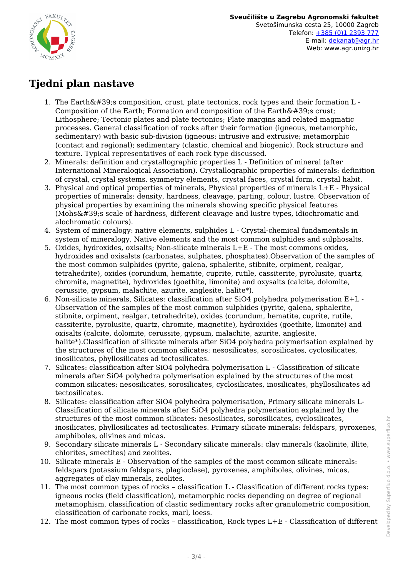

## **Tjedni plan nastave**

- 1. The Earth's composition, crust, plate tectonics, rock types and their formation L -Composition of the Earth; Formation and composition of the Earth $\&\#39$ ; crust; Lithosphere; Tectonic plates and plate tectonics; Plate margins and related magmatic processes. General classification of rocks after their formation (igneous, metamorphic, sedimentary) with basic sub-division (igneous: intrusive and extrusive; metamorphic (contact and regional); sedimentary (clastic, chemical and biogenic). Rock structure and texture. Typical representatives of each rock type discussed.
- 2. Minerals: definition and crystallographic properties L Definition of mineral (after International Mineralogical Association). Crystallographic properties of minerals: definition of crystal, crystal systems, symmetry elements, crystal faces, crystal form, crystal habit.
- 3. Physical and optical properties of minerals, Physical properties of minerals L+E Physical properties of minerals: density, hardness, cleavage, parting, colour, lustre. Observation of physical properties by examining the minerals showing specific physical features  $(Mohs\'$ s scale of hardness, different cleavage and lustre types, idiochromatic and alochromatic colours).
- 4. System of mineralogy: native elements, sulphides L Crystal-chemical fundamentals in system of mineralogy. Native elements and the most common sulphides and sulphosalts.
- 5. Oxides, hydroxides, oxisalts; Non-silicate minerals L+E The most commons oxides, hydroxides and oxisalsts (carbonates, sulphates, phosphates).Observation of the samples of the most common sulphides (pyrite, galena, sphalerite, stibnite, orpiment, realgar, tetrahedrite), oxides (corundum, hematite, cuprite, rutile, cassiterite, pyrolusite, quartz, chromite, magnetite), hydroxides (goethite, limonite) and oxysalts (calcite, dolomite, cerussite, gypsum, malachite, azurite, anglesite, halite\*).
- 6. Non-silicate minerals, Silicates: classification after SiO4 polyhedra polymerisation E+L Observation of the samples of the most common sulphides (pyrite, galena, sphalerite, stibnite, orpiment, realgar, tetrahedrite), oxides (corundum, hematite, cuprite, rutile, cassiterite, pyrolusite, quartz, chromite, magnetite), hydroxides (goethite, limonite) and oxisalts (calcite, dolomite, cerussite, gypsum, malachite, azurite, anglesite, halite\*).Classification of silicate minerals after SiO4 polyhedra polymerisation explained by the structures of the most common silicates: nesosilicates, sorosilicates, cyclosilicates, inosilicates, phyllosilicates ad tectosilicates.
- 7. Silicates: classification after SiO4 polyhedra polymerisation L Classification of silicate minerals after SiO4 polyhedra polymerisation explained by the structures of the most common silicates: nesosilicates, sorosilicates, cyclosilicates, inosilicates, phyllosilicates ad tectosilicates.
- 8. Silicates: classification after SiO4 polyhedra polymerisation, Primary silicate minerals L-Classification of silicate minerals after SiO4 polyhedra polymerisation explained by the structures of the most common silicates: nesosilicates, sorosilicates, cyclosilicates, inosilicates, phyllosilicates ad tectosilicates. Primary silicate minerals: feldspars, pyroxenes, amphiboles, olivines and micas.
- 9. Secondary silicate minerals L Secondary silicate minerals: clay minerals (kaolinite, illite, chlorites, smectites) and zeolites.
- 10. Silicate minerals E Observation of the samples of the most common silicate minerals: feldspars (potassium feldspars, plagioclase), pyroxenes, amphiboles, olivines, micas, aggregates of clay minerals, zeolites.
- 11. The most common types of rocks classification L Classification of different rocks types: igneous rocks (field classification), metamorphic rocks depending on degree of regional metamophism, classification of clastic sedimentary rocks after granulometric composition, classification of carbonate rocks, marl, loess.
- 12. The most common types of rocks classification, Rock types L+E Classification of different